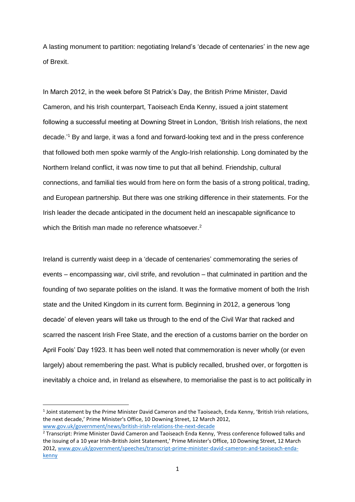A lasting monument to partition: negotiating Ireland's 'decade of centenaries' in the new age of Brexit.

In March 2012, in the week before St Patrick's Day, the British Prime Minister, David Cameron, and his Irish counterpart, Taoiseach Enda Kenny, issued a joint statement following a successful meeting at Downing Street in London, 'British Irish relations, the next decade.'<sup>1</sup> By and large, it was a fond and forward-looking text and in the press conference that followed both men spoke warmly of the Anglo-Irish relationship. Long dominated by the Northern Ireland conflict, it was now time to put that all behind. Friendship, cultural connections, and familial ties would from here on form the basis of a strong political, trading, and European partnership. But there was one striking difference in their statements. For the Irish leader the decade anticipated in the document held an inescapable significance to which the British man made no reference whatsoever.<sup>2</sup>

Ireland is currently waist deep in a 'decade of centenaries' commemorating the series of events – encompassing war, civil strife, and revolution – that culminated in partition and the founding of two separate polities on the island. It was the formative moment of both the Irish state and the United Kingdom in its current form. Beginning in 2012, a generous 'long decade' of eleven years will take us through to the end of the Civil War that racked and scarred the nascent Irish Free State, and the erection of a customs barrier on the border on April Fools' Day 1923. It has been well noted that commemoration is never wholly (or even largely) about remembering the past. What is publicly recalled, brushed over, or forgotten is inevitably a choice and, in Ireland as elsewhere, to memorialise the past is to act politically in

 $\overline{a}$ 

<sup>&</sup>lt;sup>1</sup> Joint statement by the Prime Minister David Cameron and the Taoiseach, Enda Kenny, 'British Irish relations, the next decade,' Prime Minister's Office, 10 Downing Street, 12 March 2012, [www.gov.uk/government/news/british-irish-relations-the-next-decade](http://www.gov.uk/government/news/british-irish-relations-the-next-decade)

<sup>&</sup>lt;sup>2</sup> Transcript: Prime Minister David Cameron and Taoiseach Enda Kenny, 'Press conference followed talks and the issuing of a 10 year Irish-British Joint Statement,' Prime Minister's Office, 10 Downing Street, 12 March 2012, [www.gov.uk/government/speeches/transcript-prime-minister-david-cameron-and-taoiseach-enda](http://www.gov.uk/government/speeches/transcript-prime-minister-david-cameron-and-taoiseach-enda-kenny)[kenny](http://www.gov.uk/government/speeches/transcript-prime-minister-david-cameron-and-taoiseach-enda-kenny)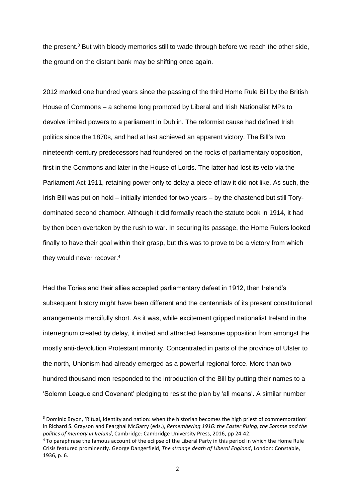the present.<sup>3</sup> But with bloody memories still to wade through before we reach the other side, the ground on the distant bank may be shifting once again.

2012 marked one hundred years since the passing of the third Home Rule Bill by the British House of Commons – a scheme long promoted by Liberal and Irish Nationalist MPs to devolve limited powers to a parliament in Dublin. The reformist cause had defined Irish politics since the 1870s, and had at last achieved an apparent victory. The Bill's two nineteenth-century predecessors had foundered on the rocks of parliamentary opposition, first in the Commons and later in the House of Lords. The latter had lost its veto via the Parliament Act 1911, retaining power only to delay a piece of law it did not like. As such, the Irish Bill was put on hold – initially intended for two years – by the chastened but still Torydominated second chamber. Although it did formally reach the statute book in 1914, it had by then been overtaken by the rush to war. In securing its passage, the Home Rulers looked finally to have their goal within their grasp, but this was to prove to be a victory from which they would never recover. 4

Had the Tories and their allies accepted parliamentary defeat in 1912, then Ireland's subsequent history might have been different and the centennials of its present constitutional arrangements mercifully short. As it was, while excitement gripped nationalist Ireland in the interregnum created by delay, it invited and attracted fearsome opposition from amongst the mostly anti-devolution Protestant minority. Concentrated in parts of the province of Ulster to the north, Unionism had already emerged as a powerful regional force. More than two hundred thousand men responded to the introduction of the Bill by putting their names to a 'Solemn League and Covenant' pledging to resist the plan by 'all means'. A similar number

<sup>3</sup> Dominic Bryon, 'Ritual, identity and nation: when the historian becomes the high priest of commemoration' in Richard S. Grayson and Fearghal McGarry (eds.), *Remembering 1916: the Easter Rising, the Somme and the politics of memory in Ireland*, Cambridge: Cambridge University Press, 2016, pp 24-42.

<sup>4</sup> To paraphrase the famous account of the eclipse of the Liberal Party in this period in which the Home Rule Crisis featured prominently. George Dangerfield, *The strange death of Liberal England*, London: Constable, 1936, p. 6.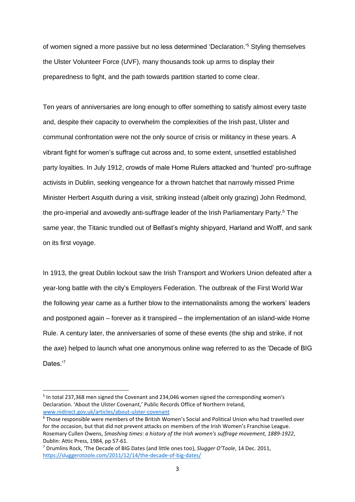of women signed a more passive but no less determined 'Declaration.' <sup>5</sup> Styling themselves the Ulster Volunteer Force (UVF), many thousands took up arms to display their preparedness to fight, and the path towards partition started to come clear.

Ten years of anniversaries are long enough to offer something to satisfy almost every taste and, despite their capacity to overwhelm the complexities of the Irish past, Ulster and communal confrontation were not the only source of crisis or militancy in these years. A vibrant fight for women's suffrage cut across and, to some extent, unsettled established party loyalties. In July 1912, crowds of male Home Rulers attacked and 'hunted' pro-suffrage activists in Dublin, seeking vengeance for a thrown hatchet that narrowly missed Prime Minister Herbert Asquith during a visit, striking instead (albeit only grazing) John Redmond, the pro-imperial and avowedly anti-suffrage leader of the Irish Parliamentary Party.<sup>6</sup> The same year, the Titanic trundled out of Belfast's mighty shipyard, Harland and Wolff, and sank on its first voyage.

In 1913, the great Dublin lockout saw the Irish Transport and Workers Union defeated after a year-long battle with the city's Employers Federation. The outbreak of the First World War the following year came as a further blow to the internationalists among the workers' leaders and postponed again – forever as it transpired – the implementation of an island-wide Home Rule. A century later, the anniversaries of some of these events (the ship and strike, if not the axe) helped to launch what one anonymous online wag referred to as the 'Decade of BIG Dates<sup>'7</sup>

<sup>&</sup>lt;sup>5</sup> In total 237,368 men signed the Covenant and 234,046 women signed the corresponding women's Declaration. 'About the Ulster Covenant,' Public Records Office of Northern Ireland, [www.nidirect.gov.uk/articles/about-ulster-covenant](http://www.nidirect.gov.uk/articles/about-ulster-covenant) 

 $6$  Those responsible were members of the British Women's Social and Political Union who had travelled over for the occasion, but that did not prevent attacks on members of the Irish Women's Franchise League. Rosemary Cullen Owens, *Smashing times: a history of the Irish women's suffrage movement, 1889-1922*, Dublin: Attic Press, 1984, pp 57-61.

<sup>7</sup> Drumlins Rock, 'The Decade of BIG Dates (and little ones too), *Slugger O'Toole*, 14 Dec. 2011, <https://sluggerotoole.com/2011/12/14/the-decade-of-big-dates/>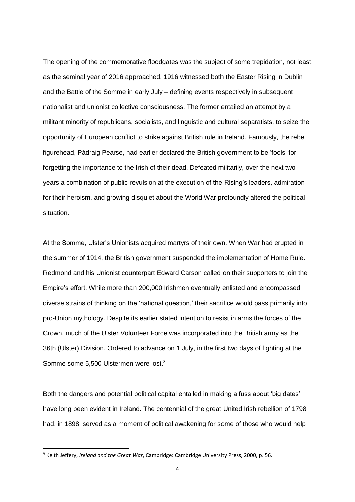The opening of the commemorative floodgates was the subject of some trepidation, not least as the seminal year of 2016 approached. 1916 witnessed both the Easter Rising in Dublin and the Battle of the Somme in early July – defining events respectively in subsequent nationalist and unionist collective consciousness. The former entailed an attempt by a militant minority of republicans, socialists, and linguistic and cultural separatists, to seize the opportunity of European conflict to strike against British rule in Ireland. Famously, the rebel figurehead, Pádraig Pearse, had earlier declared the British government to be 'fools' for forgetting the importance to the Irish of their dead. Defeated militarily, over the next two years a combination of public revulsion at the execution of the Rising's leaders, admiration for their heroism, and growing disquiet about the World War profoundly altered the political situation.

At the Somme, Ulster's Unionists acquired martyrs of their own. When War had erupted in the summer of 1914, the British government suspended the implementation of Home Rule. Redmond and his Unionist counterpart Edward Carson called on their supporters to join the Empire's effort. While more than 200,000 Irishmen eventually enlisted and encompassed diverse strains of thinking on the 'national question,' their sacrifice would pass primarily into pro-Union mythology. Despite its earlier stated intention to resist in arms the forces of the Crown, much of the Ulster Volunteer Force was incorporated into the British army as the 36th (Ulster) Division. Ordered to advance on 1 July, in the first two days of fighting at the Somme some 5,500 Ulstermen were lost.<sup>8</sup>

Both the dangers and potential political capital entailed in making a fuss about 'big dates' have long been evident in Ireland. The centennial of the great United Irish rebellion of 1798 had, in 1898, served as a moment of political awakening for some of those who would help

<sup>8</sup> Keith Jeffery, *Ireland and the Great War*, Cambridge: Cambridge University Press, 2000, p. 56.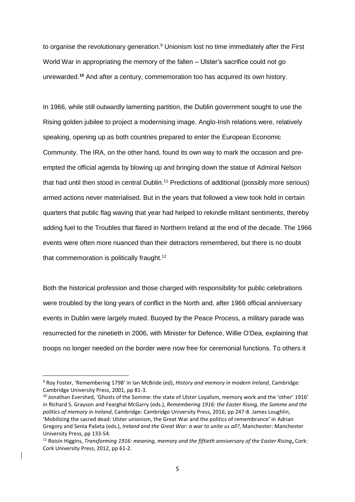to organise the revolutionary generation.<sup>9</sup> Unionism lost no time immediately after the First World War in appropriating the memory of the fallen – Ulster's sacrifice could not go unrewarded.**<sup>10</sup>** And after a century, commemoration too has acquired its own history.

In 1966, while still outwardly lamenting partition, the Dublin government sought to use the Rising golden jubilee to project a modernising image. Anglo-Irish relations were, relatively speaking, opening up as both countries prepared to enter the European Economic Community. The IRA, on the other hand, found its own way to mark the occasion and preempted the official agenda by blowing up and bringing down the statue of Admiral Nelson that had until then stood in central Dublin.<sup>11</sup> Predictions of additional (possibly more serious) armed actions never materialised. But in the years that followed a view took hold in certain quarters that public flag waving that year had helped to rekindle militant sentiments, thereby adding fuel to the Troubles that flared in Northern Ireland at the end of the decade. The 1966 events were often more nuanced than their detractors remembered, but there is no doubt that commemoration is politically fraught.<sup>12</sup>

Both the historical profession and those charged with responsibility for public celebrations were troubled by the long years of conflict in the North and, after 1966 official anniversary events in Dublin were largely muted. Buoyed by the Peace Process, a military parade was resurrected for the ninetieth in 2006, with Minister for Defence, Willie O'Dea, explaining that troops no longer needed on the border were now free for ceremonial functions. To others it

<sup>9</sup> Roy Foster, 'Remembering 1798' in Ian McBride (ed), *History and memory in modern Ireland*, Cambridge: Cambridge University Press, 2001, pp 81-3.

<sup>10</sup> Jonathan Evershed, 'Ghosts of the Somme: the state of Ulster Loyalism, memory work and the 'other' 1916' in Richard S. Grayson and Fearghal McGarry (eds.), *Remembering 1916: the Easter Rising, the Somme and the politics of memory in Ireland*, Cambridge: Cambridge University Press, 2016, pp 247-8. James Loughlin, 'Mobilizing the sacred dead: Ulster unionism, the Great War and the politics of remembrance' in Adrian Gregory and Senia Pašeta (eds.), *Ireland and the Great War: a war to unite us all?*, Manchester: Manchester University Press, pp 133-54.

<sup>11</sup> Roisín Higgins, *Transforming 1916: meaning, memory and the fiftieth anniversary of the Easter Rising***,** Cork: Cork University Press, 2012, pp 61-2.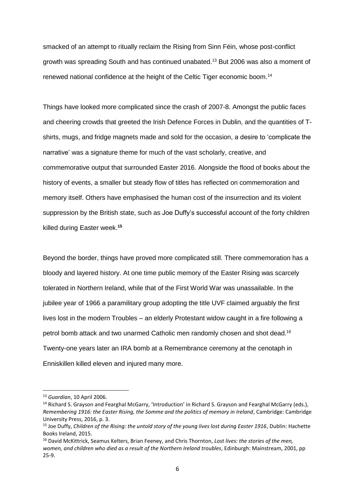smacked of an attempt to ritually reclaim the Rising from Sinn Féin, whose post-conflict growth was spreading South and has continued unabated.<sup>13</sup> But 2006 was also a moment of renewed national confidence at the height of the Celtic Tiger economic boom.<sup>14</sup>

Things have looked more complicated since the crash of 2007-8. Amongst the public faces and cheering crowds that greeted the Irish Defence Forces in Dublin, and the quantities of Tshirts, mugs, and fridge magnets made and sold for the occasion, a desire to 'complicate the narrative' was a signature theme for much of the vast scholarly, creative, and commemorative output that surrounded Easter 2016. Alongside the flood of books about the history of events, a smaller but steady flow of titles has reflected on commemoration and memory itself. Others have emphasised the human cost of the insurrection and its violent suppression by the British state, such as Joe Duffy's successful account of the forty children killed during Easter week. **15**

Beyond the border, things have proved more complicated still. There commemoration has a bloody and layered history. At one time public memory of the Easter Rising was scarcely tolerated in Northern Ireland, while that of the First World War was unassailable. In the jubilee year of 1966 a paramilitary group adopting the title UVF claimed arguably the first lives lost in the modern Troubles – an elderly Protestant widow caught in a fire following a petrol bomb attack and two unarmed Catholic men randomly chosen and shot dead.<sup>16</sup> Twenty-one years later an IRA bomb at a Remembrance ceremony at the cenotaph in Enniskillen killed eleven and injured many more.

<sup>13</sup> *Guardian*, 10 April 2006.

<sup>14</sup> Richard S. Grayson and Fearghal McGarry, 'Introduction' in Richard S. Grayson and Fearghal McGarry (eds.), *Remembering 1916: the Easter Rising, the Somme and the politics of memory in Ireland*, Cambridge: Cambridge University Press, 2016, p. 3.

<sup>&</sup>lt;sup>15</sup> Joe Duffy, *Children of the Rising: the untold story of the young lives lost during Easter 1916*, Dublin: Hachette Books Ireland, 2015.

<sup>16</sup> David McKittrick, Seamus Kelters, Brian Feeney, and Chris Thornton, *Lost lives: the stories of the men, women, and children who died as a result of the Northern Ireland troubles*, Edinburgh: Mainstream, 2001, pp 25-9.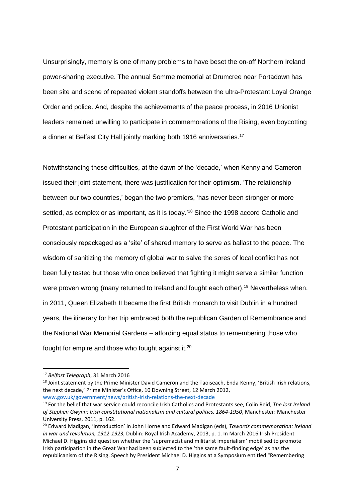Unsurprisingly, memory is one of many problems to have beset the on-off Northern Ireland power-sharing executive. The annual Somme memorial at Drumcree near Portadown has been site and scene of repeated violent standoffs between the ultra-Protestant Loyal Orange Order and police. And, despite the achievements of the peace process, in 2016 Unionist leaders remained unwilling to participate in commemorations of the Rising, even boycotting a dinner at Belfast City Hall jointly marking both 1916 anniversaries.<sup>17</sup>

Notwithstanding these difficulties, at the dawn of the 'decade,' when Kenny and Cameron issued their joint statement, there was justification for their optimism. 'The relationship between our two countries,' began the two premiers, 'has never been stronger or more settled, as complex or as important, as it is today.<sup>18</sup> Since the 1998 accord Catholic and Protestant participation in the European slaughter of the First World War has been consciously repackaged as a 'site' of shared memory to serve as ballast to the peace. The wisdom of sanitizing the memory of global war to salve the sores of local conflict has not been fully tested but those who once believed that fighting it might serve a similar function were proven wrong (many returned to Ireland and fought each other).<sup>19</sup> Nevertheless when, in 2011, Queen Elizabeth II became the first British monarch to visit Dublin in a hundred years, the itinerary for her trip embraced both the republican Garden of Remembrance and the National War Memorial Gardens – affording equal status to remembering those who fought for empire and those who fought against it.<sup>20</sup>

 $\overline{a}$ 

<sup>18</sup> Joint statement by the Prime Minister David Cameron and the Taoiseach, Enda Kenny, 'British Irish relations, the next decade,' Prime Minister's Office, 10 Downing Street, 12 March 2012, [www.gov.uk/government/news/british-irish-relations-the-next-decade](http://www.gov.uk/government/news/british-irish-relations-the-next-decade)

<sup>17</sup> *Belfast Telegraph*, 31 March 2016

<sup>19</sup> For the belief that war service could reconcile Irish Catholics and Protestants see, Colin Reid, *The lost Ireland of Stephen Gwynn: Irish constitutional nationalism and cultural politics, 1864-1950*, Manchester: Manchester University Press, 2011, p. 162.

<sup>20</sup> Edward Madigan, 'Introduction' in John Horne and Edward Madigan (eds), *Towards commemoration: Ireland in war and revolution, 1912-1923*, Dublin: Royal Irish Academy, 2013, p. 1. In March 2016 Irish President Michael D. Higgins did question whether the 'supremacist and militarist imperialism' mobilised to promote Irish participation in the Great War had been subjected to the 'the same fault-finding edge' as has the republicanism of the Rising. Speech by President Michael D. Higgins at a Symposium entitled "Remembering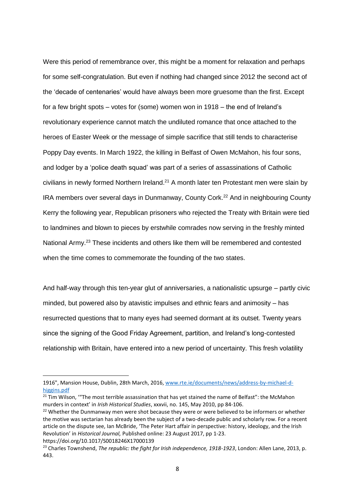Were this period of remembrance over, this might be a moment for relaxation and perhaps for some self-congratulation. But even if nothing had changed since 2012 the second act of the 'decade of centenaries' would have always been more gruesome than the first. Except for a few bright spots – votes for (some) women won in 1918 – the end of Ireland's revolutionary experience cannot match the undiluted romance that once attached to the heroes of Easter Week or the message of simple sacrifice that still tends to characterise Poppy Day events. In March 1922, the killing in Belfast of Owen McMahon, his four sons, and lodger by a 'police death squad' was part of a series of assassinations of Catholic civilians in newly formed Northern Ireland.<sup>21</sup> A month later ten Protestant men were slain by IRA members over several days in Dunmanway, County Cork.<sup>22</sup> And in neighbouring County Kerry the following year, Republican prisoners who rejected the Treaty with Britain were tied to landmines and blown to pieces by erstwhile comrades now serving in the freshly minted National Army.<sup>23</sup> These incidents and others like them will be remembered and contested when the time comes to commemorate the founding of the two states.

And half-way through this ten-year glut of anniversaries, a nationalistic upsurge – partly civic minded, but powered also by atavistic impulses and ethnic fears and animosity – has resurrected questions that to many eyes had seemed dormant at its outset. Twenty years since the signing of the Good Friday Agreement, partition, and Ireland's long-contested relationship with Britain, have entered into a new period of uncertainty. This fresh volatility

https://doi.org/10.1017/S0018246X17000139

<sup>1916&</sup>quot;, Mansion House, Dublin, 28th March, 2016[, www.rte.ie/documents/news/address-by-michael-d](http://www.rte.ie/documents/news/address-by-michael-d-higgins.pdf)[higgins.pdf](http://www.rte.ie/documents/news/address-by-michael-d-higgins.pdf)

<sup>&</sup>lt;sup>21</sup> Tim Wilson, "The most terrible assassination that has yet stained the name of Belfast": the McMahon murders in context' in *Irish Historical Studies*, xxxvii, no. 145, May 2010, pp 84-106.

<sup>&</sup>lt;sup>22</sup> Whether the Dunmanway men were shot because they were or were believed to be informers or whether the motive was sectarian has already been the subject of a two-decade public and scholarly row. For a recent article on the dispute see, Ian McBride, 'The Peter Hart affair in perspective: history, ideology, and the Irish Revolution' in *Historical Journal,* Published online: 23 August 2017, pp 1-23.

<sup>&</sup>lt;sup>23</sup> Charles Townshend, *The republic: the fight for Irish independence, 1918-1923*, London: Allen Lane, 2013, p. 443.